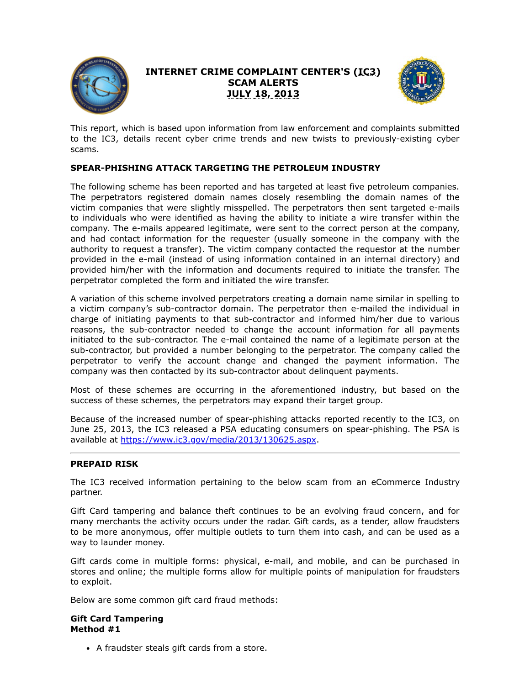

# **INTERNET CRIME COMPLAINT CENTER'S (IC3) SCAM ALERTS JULY 18, 2013**



This report, which is based upon information from law enforcement and complaints submitted to the IC3, details recent cyber crime trends and new twists to previously-existing cyber scams.

## **SPEAR-PHISHING ATTACK TARGETING THE PETROLEUM INDUSTRY**

The following scheme has been reported and has targeted at least five petroleum companies. The perpetrators registered domain names closely resembling the domain names of the victim companies that were slightly misspelled. The perpetrators then sent targeted e-mails to individuals who were identified as having the ability to initiate a wire transfer within the company. The e-mails appeared legitimate, were sent to the correct person at the company, and had contact information for the requester (usually someone in the company with the authority to request a transfer). The victim company contacted the requestor at the number provided in the e-mail (instead of using information contained in an internal directory) and provided him/her with the information and documents required to initiate the transfer. The perpetrator completed the form and initiated the wire transfer.

A variation of this scheme involved perpetrators creating a domain name similar in spelling to a victim company's sub-contractor domain. The perpetrator then e-mailed the individual in charge of initiating payments to that sub-contractor and informed him/her due to various reasons, the sub-contractor needed to change the account information for all payments initiated to the sub-contractor. The e-mail contained the name of a legitimate person at the sub-contractor, but provided a number belonging to the perpetrator. The company called the perpetrator to verify the account change and changed the payment information. The company was then contacted by its sub-contractor about delinquent payments.

Most of these schemes are occurring in the aforementioned industry, but based on the success of these schemes, the perpetrators may expand their target group.

Because of the increased number of spear-phishing attacks reported recently to the IC3, on June 25, 2013, the IC3 released a PSA educating consumers on spear-phishing. The PSA is available at [https://www.ic3.gov/media/2013/130625.aspx.](https://www.ic3.gov/media/2013/130625.aspx)

## **PREPAID RISK**

The IC3 received information pertaining to the below scam from an eCommerce Industry partner.

Gift Card tampering and balance theft continues to be an evolving fraud concern, and for many merchants the activity occurs under the radar. Gift cards, as a tender, allow fraudsters to be more anonymous, offer multiple outlets to turn them into cash, and can be used as a way to launder money.

Gift cards come in multiple forms: physical, e-mail, and mobile, and can be purchased in stores and online; the multiple forms allow for multiple points of manipulation for fraudsters to exploit.

Below are some common gift card fraud methods:

#### **Gift Card Tampering Method #1**

• A fraudster steals gift cards from a store.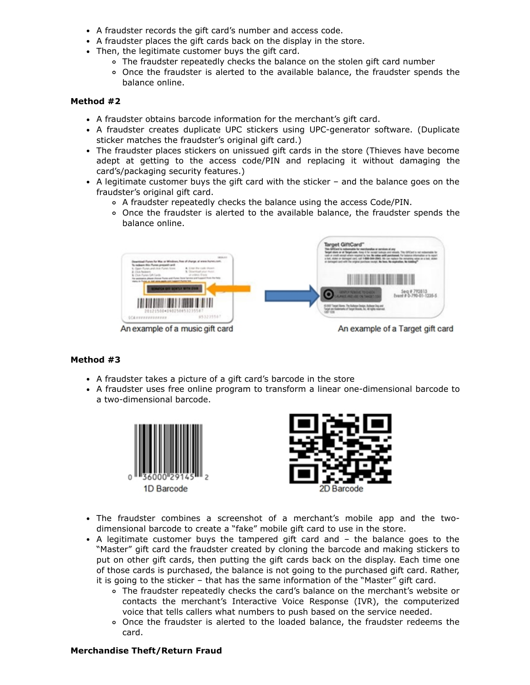- A fraudster records the gift card's number and access code.
- A fraudster places the gift cards back on the display in the store.
- Then, the legitimate customer buys the gift card.
	- The fraudster repeatedly checks the balance on the stolen gift card number
	- Once the fraudster is alerted to the available balance, the fraudster spends the balance online.

#### **Method #2**

- A fraudster obtains barcode information for the merchant's gift card.
- A fraudster creates duplicate UPC stickers using UPC-generator software. (Duplicate sticker matches the fraudster's original gift card.)
- The fraudster places stickers on unissued gift cards in the store (Thieves have become adept at getting to the access code/PIN and replacing it without damaging the card's/packaging security features.)
- A legitimate customer buys the gift card with the sticker and the balance goes on the fraudster's original gift card.
	- A fraudster repeatedly checks the balance using the access Code/PIN.
	- Once the fraudster is alerted to the available balance, the fraudster spends the balance online.



## **Method #3**

- A fraudster takes a picture of a gift card's barcode in the store
- A fraudster uses free online program to transform a linear one-dimensional barcode to a two-dimensional barcode.





- The fraudster combines a screenshot of a merchant's mobile app and the twodimensional barcode to create a "fake" mobile gift card to use in the store.
- A legitimate customer buys the tampered gift card and the balance goes to the "Master" gift card the fraudster created by cloning the barcode and making stickers to put on other gift cards, then putting the gift cards back on the display. Each time one of those cards is purchased, the balance is not going to the purchased gift card. Rather, it is going to the sticker – that has the same information of the "Master" gift card.
	- The fraudster repeatedly checks the card's balance on the merchant's website or contacts the merchant's Interactive Voice Response (IVR), the computerized voice that tells callers what numbers to push based on the service needed.
	- Once the fraudster is alerted to the loaded balance, the fraudster redeems the card.

#### **Merchandise Theft/Return Fraud**